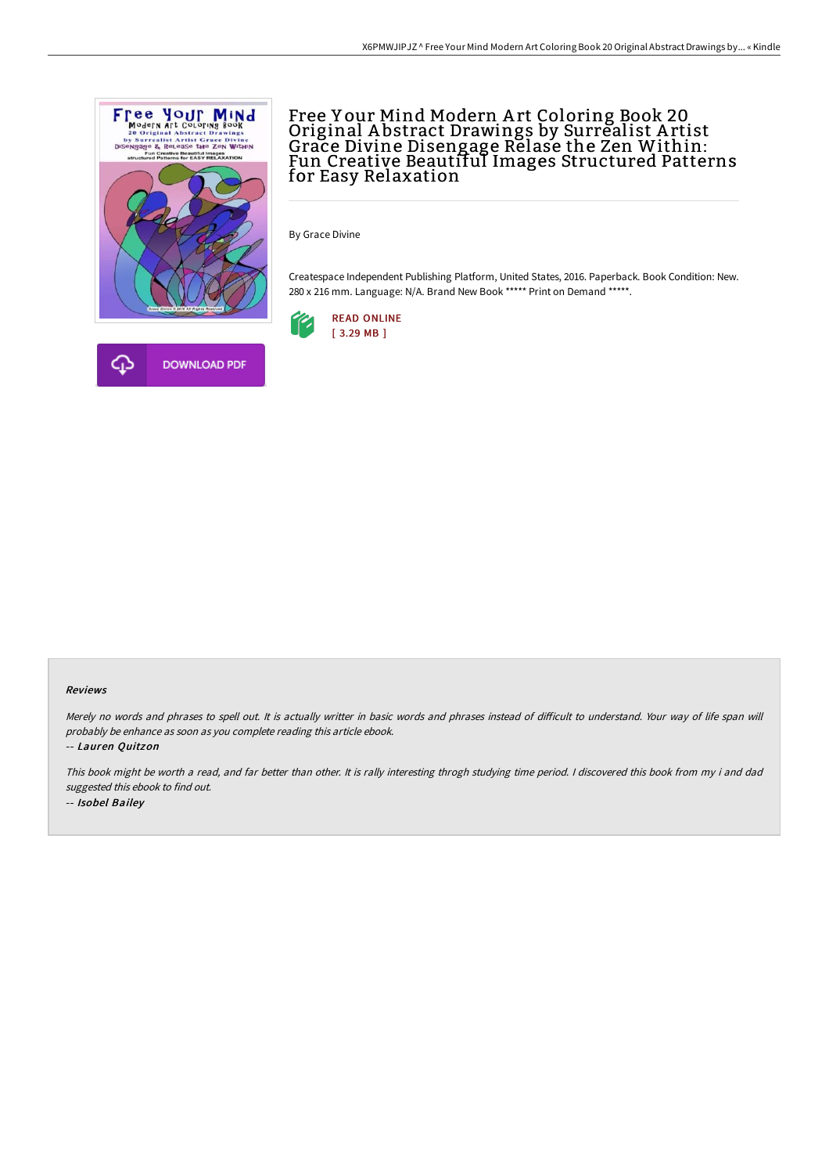

# Free Y our Mind Modern A rt Coloring Book 20 Original A bstract Drawings by Surrealist A rtist Grace Divine Disengage Relase the Zen Within: Fun Creative Beautiful Images Structured Patterns for Easy Relaxation

By Grace Divine

Createspace Independent Publishing Platform, United States, 2016. Paperback. Book Condition: New. 280 x 216 mm. Language: N/A. Brand New Book \*\*\*\*\* Print on Demand \*\*\*\*\*.



#### Reviews

Merely no words and phrases to spell out. It is actually writter in basic words and phrases instead of difficult to understand. Your way of life span will probably be enhance as soon as you complete reading this article ebook.

-- Lauren Quitzon

This book might be worth <sup>a</sup> read, and far better than other. It is rally interesting throgh studying time period. <sup>I</sup> discovered this book from my i and dad suggested this ebook to find out. -- Isobel Bailey